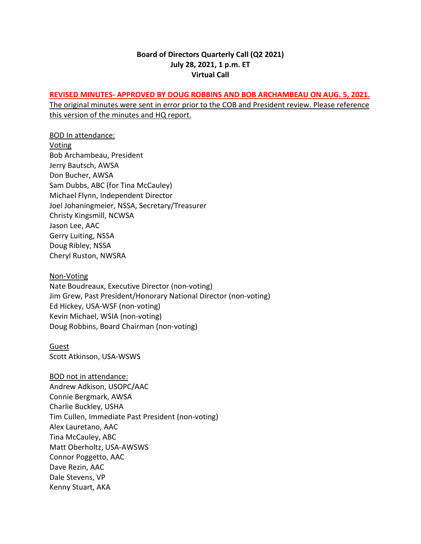### **Board of Directors Quarterly Call (Q2 2021) July 28, 2021, 1 p.m. ET Virtual Call**

### **REVISED MINUTES- APPROVED BY DOUG ROBBINS AND BOB ARCHAMBEAU ON AUG. 5, 2021.**

The original minutes were sent in error prior to the COB and President review. Please reference this version of the minutes and HQ report.

BOD In attendance: Voting Bob Archambeau, President Jerry Bautsch, AWSA Don Bucher, AWSA Sam Dubbs, ABC (for Tina McCauley) Michael Flynn, Independent Director Joel Johaningmeier, NSSA, Secretary/Treasurer Christy Kingsmill, NCWSA Jason Lee, AAC Gerry Luiting, NSSA Doug Ribley, NSSA Cheryl Ruston, NWSRA

#### Non-Voting

Nate Boudreaux, Executive Director (non-voting) Jim Grew, Past President/Honorary National Director (non-voting) Ed Hickey, USA-WSF (non-voting) Kevin Michael, WSIA (non-voting) Doug Robbins, Board Chairman (non-voting)

#### **Guest** Scott Atkinson, USA-WSWS

BOD not in attendance: Andrew Adkison, USOPC/AAC Connie Bergmark, AWSA Charlie Buckley, USHA Tim Cullen, Immediate Past President (non-voting) Alex Lauretano, AAC Tina McCauley, ABC Matt Oberholtz, USA-AWSWS Connor Poggetto, AAC Dave Rezin, AAC Dale Stevens, VP Kenny Stuart, AKA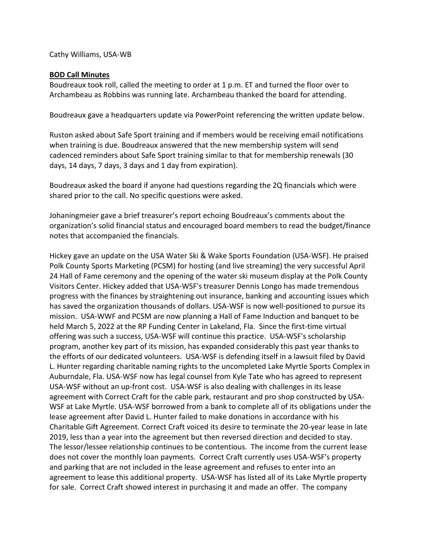Cathy Williams, USA-WB

### **BOD Call Minutes**

Boudreaux took roll, called the meeting to order at 1 p.m. ET and turned the floor over to Archambeau as Robbins was running late. Archambeau thanked the board for attending.

Boudreaux gave a headquarters update via PowerPoint referencing the written update below.

Ruston asked about Safe Sport training and if members would be receiving email notifications when training is due. Boudreaux answered that the new membership system will send cadenced reminders about Safe Sport training similar to that for membership renewals (30 days, 14 days, 7 days, 3 days and 1 day from expiration).

Boudreaux asked the board if anyone had questions regarding the 2Q financials which were shared prior to the call. No specific questions were asked.

Johaningmeier gave a brief treasurer's report echoing Boudreaux's comments about the organization's solid financial status and encouraged board members to read the budget/finance notes that accompanied the financials.

Hickey gave an update on the USA Water Ski & Wake Sports Foundation (USA-WSF). He praised Polk County Sports Marketing (PCSM) for hosting (and live streaming) the very successful April 24 Hall of Fame ceremony and the opening of the water ski museum display at the Polk County Visitors Center. Hickey added that USA-WSF's treasurer Dennis Longo has made tremendous progress with the finances by straightening out insurance, banking and accounting issues which has saved the organization thousands of dollars. USA-WSF is now well-positioned to pursue its mission. USA-WWF and PCSM are now planning a Hall of Fame Induction and banquet to be held March 5, 2022 at the RP Funding Center in Lakeland, Fla. Since the first-time virtual offering was such a success, USA-WSF will continue this practice. USA-WSF's scholarship program, another key part of its mission, has expanded considerably this past year thanks to the efforts of our dedicated volunteers. USA-WSF is defending itself in a lawsuit filed by David L. Hunter regarding charitable naming rights to the uncompleted Lake Myrtle Sports Complex in Auburndale, Fla. USA-WSF now has legal counsel from Kyle Tate who has agreed to represent USA-WSF without an up-front cost. USA-WSF is also dealing with challenges in its lease agreement with Correct Craft for the cable park, restaurant and pro shop constructed by USA-WSF at Lake Myrtle. USA-WSF borrowed from a bank to complete all of its obligations under the lease agreement after David L. Hunter failed to make donations in accordance with his Charitable Gift Agreement. Correct Craft voiced its desire to terminate the 20-year lease in late 2019, less than a year into the agreement but then reversed direction and decided to stay. The lessor/lessee relationship continues to be contentious. The income from the current lease does not cover the monthly loan payments. Correct Craft currently uses USA-WSF's property and parking that are not included in the lease agreement and refuses to enter into an agreement to lease this additional property. USA-WSF has listed all of its Lake Myrtle property for sale. Correct Craft showed interest in purchasing it and made an offer. The company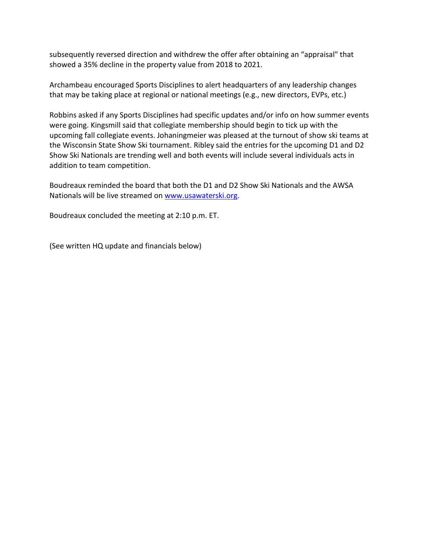subsequently reversed direction and withdrew the offer after obtaining an "appraisal" that showed a 35% decline in the property value from 2018 to 2021.

Archambeau encouraged Sports Disciplines to alert headquarters of any leadership changes that may be taking place at regional or national meetings (e.g., new directors, EVPs, etc.)

Robbins asked if any Sports Disciplines had specific updates and/or info on how summer events were going. Kingsmill said that collegiate membership should begin to tick up with the upcoming fall collegiate events. Johaningmeier was pleased at the turnout of show ski teams at the Wisconsin State Show Ski tournament. Ribley said the entries for the upcoming D1 and D2 Show Ski Nationals are trending well and both events will include several individuals acts in addition to team competition.

Boudreaux reminded the board that both the D1 and D2 Show Ski Nationals and the AWSA Nationals will be live streamed on [www.usawaterski.org.](http://www.usawaterski.org/)

Boudreaux concluded the meeting at 2:10 p.m. ET.

(See written HQ update and financials below)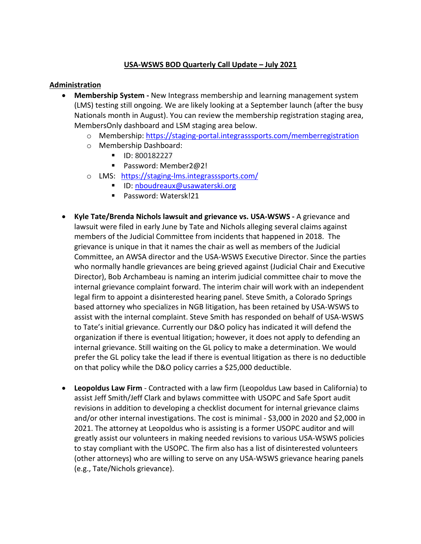# **USA-WSWS BOD Quarterly Call Update – July 2021**

## **Administration**

- **Membership System -** New Integrass membership and learning management system (LMS) testing still ongoing. We are likely looking at a September launch (after the busy Nationals month in August). You can review the membership registration staging area, MembersOnly dashboard and LSM staging area below.
	- o Membership:<https://staging-portal.integrasssports.com/memberregistration>
	- o Membership Dashboard:
		- **ID: 800182227**
		- Password: Member2@2!
	- o LMS: <https://staging-lms.integrasssports.com/>
		- ID: [nboudreaux@usawaterski.org](mailto:nboudreaux@usawaterski.org)
		- Password: Watersk!21
- **Kyle Tate/Brenda Nichols lawsuit and grievance vs. USA-WSWS -** A grievance and lawsuit were filed in early June by Tate and Nichols alleging several claims against members of the Judicial Committee from incidents that happened in 2018. The grievance is unique in that it names the chair as well as members of the Judicial Committee, an AWSA director and the USA-WSWS Executive Director. Since the parties who normally handle grievances are being grieved against (Judicial Chair and Executive Director), Bob Archambeau is naming an interim judicial committee chair to move the internal grievance complaint forward. The interim chair will work with an independent legal firm to appoint a disinterested hearing panel. Steve Smith, a Colorado Springs based attorney who specializes in NGB litigation, has been retained by USA-WSWS to assist with the internal complaint. Steve Smith has responded on behalf of USA-WSWS to Tate's initial grievance. Currently our D&O policy has indicated it will defend the organization if there is eventual litigation; however, it does not apply to defending an internal grievance. Still waiting on the GL policy to make a determination. We would prefer the GL policy take the lead if there is eventual litigation as there is no deductible on that policy while the D&O policy carries a \$25,000 deductible.
- **Leopoldus Law Firm** Contracted with a law firm (Leopoldus Law based in California) to assist Jeff Smith/Jeff Clark and bylaws committee with USOPC and Safe Sport audit revisions in addition to developing a checklist document for internal grievance claims and/or other internal investigations. The cost is minimal - \$3,000 in 2020 and \$2,000 in 2021. The attorney at Leopoldus who is assisting is a former USOPC auditor and will greatly assist our volunteers in making needed revisions to various USA-WSWS policies to stay compliant with the USOPC. The firm also has a list of disinterested volunteers (other attorneys) who are willing to serve on any USA-WSWS grievance hearing panels (e.g., Tate/Nichols grievance).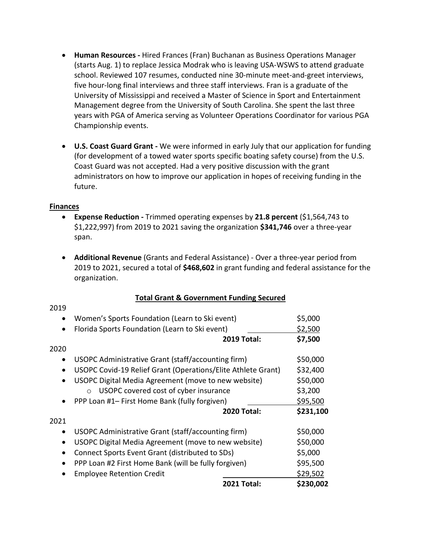- **Human Resources -** Hired Frances (Fran) Buchanan as Business Operations Manager (starts Aug. 1) to replace Jessica Modrak who is leaving USA-WSWS to attend graduate school. Reviewed 107 resumes, conducted nine 30-minute meet-and-greet interviews, five hour-long final interviews and three staff interviews. Fran is a graduate of the University of Mississippi and received a Master of Science in Sport and Entertainment Management degree from the University of South Carolina. She spent the last three years with PGA of America serving as Volunteer Operations Coordinator for various PGA Championship events.
- **U.S. Coast Guard Grant -** We were informed in early July that our application for funding (for development of a towed water sports specific boating safety course) from the U.S. Coast Guard was not accepted. Had a very positive discussion with the grant administrators on how to improve our application in hopes of receiving funding in the future.

### **Finances**

- **Expense Reduction -** Trimmed operating expenses by **21.8 percent** (\$1,564,743 to \$1,222,997) from 2019 to 2021 saving the organization **\$341,746** over a three-year span.
- **Additional Revenue** (Grants and Federal Assistance) Over a three-year period from 2019 to 2021, secured a total of **\$468,602** in grant funding and federal assistance for the organization.

|           | <b>2021 Total:</b>                                           | \$230,002 |
|-----------|--------------------------------------------------------------|-----------|
|           | <b>Employee Retention Credit</b>                             | \$29,502  |
| $\bullet$ | PPP Loan #2 First Home Bank (will be fully forgiven)         | \$95,500  |
|           | Connect Sports Event Grant (distributed to SDs)              | \$5,000   |
|           | USOPC Digital Media Agreement (move to new website)          | \$50,000  |
| $\bullet$ | USOPC Administrative Grant (staff/accounting firm)           | \$50,000  |
| 2021      |                                                              |           |
|           | <b>2020 Total:</b>                                           | \$231,100 |
|           | PPP Loan #1– First Home Bank (fully forgiven)                | \$95,500  |
|           | USOPC covered cost of cyber insurance<br>$\bigcap$           | \$3,200   |
|           | USOPC Digital Media Agreement (move to new website)          | \$50,000  |
|           | USOPC Covid-19 Relief Grant (Operations/Elite Athlete Grant) | \$32,400  |
| $\bullet$ | USOPC Administrative Grant (staff/accounting firm)           | \$50,000  |
| 2020      |                                                              |           |
|           | <b>2019 Total:</b>                                           | \$7,500   |
|           | Florida Sports Foundation (Learn to Ski event)               | \$2,500   |
|           | Women's Sports Foundation (Learn to Ski event)               | \$5,000   |
| 2019      |                                                              |           |

### **Total Grant & Government Funding Secured**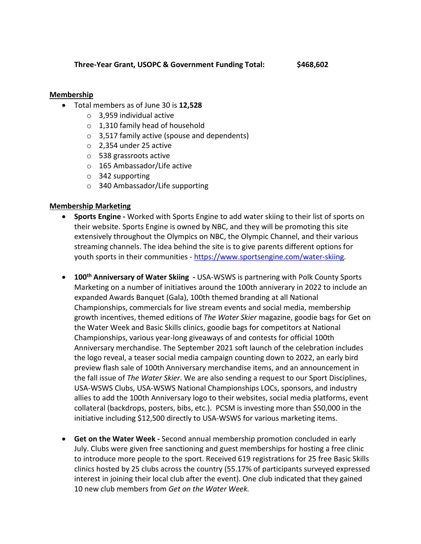**Three-Year Grant, USOPC & Government Funding Total: \$468,602**

# **Membership**

- Total members as of June 30 is **12,528**
	- o 3,959 individual active
	- o 1,310 family head of household
	- o 3,517 family active (spouse and dependents)
	- o 2,354 under 25 active
	- o 538 grassroots active
	- o 165 Ambassador/Life active
	- o 342 supporting
	- o 340 Ambassador/Life supporting

### **Membership Marketing**

- **Sports Engine -** Worked with Sports Engine to add water skiing to their list of sports on their website. Sports Engine is owned by NBC, and they will be promoting this site extensively throughout the Olympics on NBC, the Olympic Channel, and their various streaming channels. The idea behind the site is to give parents different options for youth sports in their communities - [https://www.sportsengine.com/water-skiing.](https://www.sportsengine.com/water-skiing)
- **100th Anniversary of Water Skiing -** USA-WSWS is partnering with Polk County Sports Marketing on a number of initiatives around the 100th anniverary in 2022 to include an expanded Awards Banquet (Gala), 100th themed branding at all National Championships, commercials for live stream events and social media, membership growth incentives, themed editions of *The Water Skier* magazine, goodie bags for Get on the Water Week and Basic Skills clinics, goodie bags for competitors at National Championships, various year-long giveaways of and contests for official 100th Anniversary merchandise. The September 2021 soft launch of the celebration includes the logo reveal, a teaser social media campaign counting down to 2022, an early bird preview flash sale of 100th Anniversary merchandise items, and an announcement in the fall issue of *The Water Skier*. We are also sending a request to our Sport Disciplines, USA-WSWS Clubs, USA-WSWS National Championships LOCs, sponsors, and industry allies to add the 100th Anniversary logo to their websites, social media platforms, event collateral (backdrops, posters, bibs, etc.). PCSM is investing more than \$50,000 in the initiative including \$12,500 directly to USA-WSWS for various marketing items.
- **Get on the Water Week -** Second annual membership promotion concluded in early July. Clubs were given free sanctioning and guest memberships for hosting a free clinic to introduce more people to the sport. Received 619 registrations for 25 free Basic Skills clinics hosted by 25 clubs across the country (55.17% of participants surveyed expressed interest in joining their local club after the event). One club indicated that they gained 10 new club members from *Get on the Water Week.*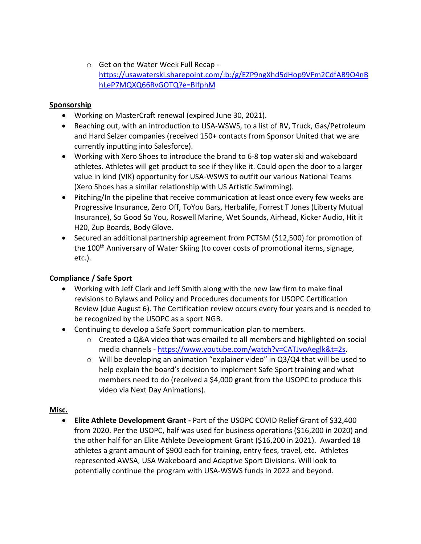o Get on the Water Week Full Recap [https://usawaterski.sharepoint.com/:b:/g/EZP9ngXhd5dHop9VFm2CdfAB9O4nB](https://usawaterski.sharepoint.com/:b:/g/EZP9ngXhd5dHop9VFm2CdfAB9O4nBhLeP7MQXQ66RvGOTQ?e=BIfphM) [hLeP7MQXQ66RvGOTQ?e=BIfphM](https://usawaterski.sharepoint.com/:b:/g/EZP9ngXhd5dHop9VFm2CdfAB9O4nBhLeP7MQXQ66RvGOTQ?e=BIfphM)

## **Sponsorship**

- Working on MasterCraft renewal (expired June 30, 2021).
- Reaching out, with an introduction to USA-WSWS, to a list of RV, Truck, Gas/Petroleum and Hard Selzer companies (received 150+ contacts from Sponsor United that we are currently inputting into Salesforce).
- Working with Xero Shoes to introduce the brand to 6-8 top water ski and wakeboard athletes. Athletes will get product to see if they like it. Could open the door to a larger value in kind (VIK) opportunity for USA-WSWS to outfit our various National Teams (Xero Shoes has a similar relationship with US Artistic Swimming).
- Pitching/In the pipeline that receive communication at least once every few weeks are Progressive Insurance, Zero Off, ToYou Bars, Herbalife, Forrest T Jones (Liberty Mutual Insurance), So Good So You, Roswell Marine, Wet Sounds, Airhead, Kicker Audio, Hit it H20, Zup Boards, Body Glove.
- Secured an additional partnership agreement from PCTSM (\$12,500) for promotion of the 100<sup>th</sup> Anniversary of Water Skiing (to cover costs of promotional items, signage, etc.).

# **Compliance / Safe Sport**

- Working with Jeff Clark and Jeff Smith along with the new law firm to make final revisions to Bylaws and Policy and Procedures documents for USOPC Certification Review (due August 6). The Certification review occurs every four years and is needed to be recognized by the USOPC as a sport NGB.
- Continuing to develop a Safe Sport communication plan to members.
	- o Created a Q&A video that was emailed to all members and highlighted on social media channels - [https://www.youtube.com/watch?v=CATJvoAeglk&t=2s.](https://www.youtube.com/watch?v=CATJvoAeglk&t=2s)
	- $\circ$  Will be developing an animation "explainer video" in Q3/Q4 that will be used to help explain the board's decision to implement Safe Sport training and what members need to do (received a \$4,000 grant from the USOPC to produce this video via Next Day Animations).

# **Misc.**

• **Elite Athlete Development Grant -** Part of the USOPC COVID Relief Grant of \$32,400 from 2020. Per the USOPC, half was used for business operations (\$16,200 in 2020) and the other half for an Elite Athlete Development Grant (\$16,200 in 2021). Awarded 18 athletes a grant amount of \$900 each for training, entry fees, travel, etc. Athletes represented AWSA, USA Wakeboard and Adaptive Sport Divisions. Will look to potentially continue the program with USA-WSWS funds in 2022 and beyond.